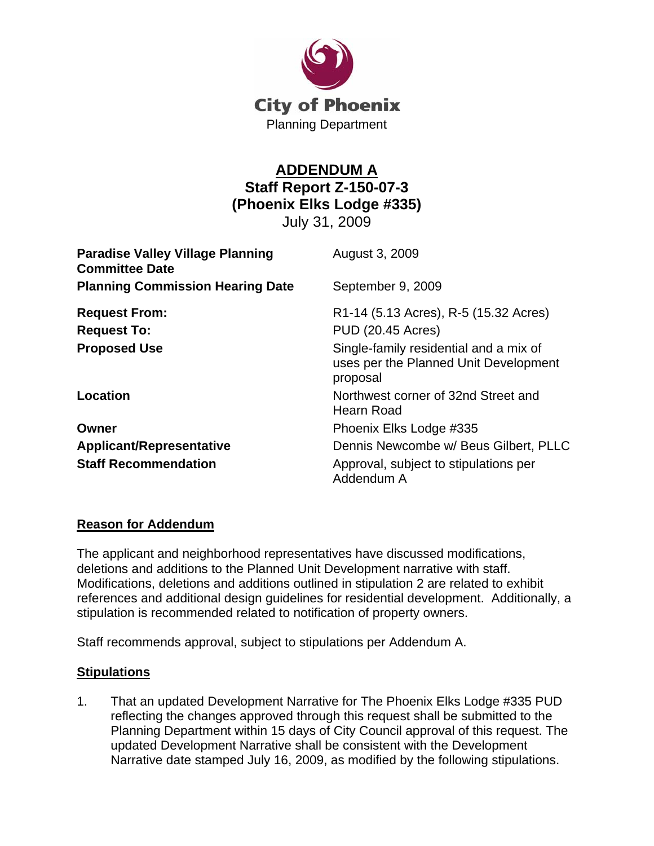

## **ADDENDUM A Staff Report Z-150-07-3 (Phoenix Elks Lodge #335)**

July 31, 2009

| <b>Paradise Valley Village Planning</b><br><b>Committee Date</b> | August 3, 2009                                                                              |
|------------------------------------------------------------------|---------------------------------------------------------------------------------------------|
| <b>Planning Commission Hearing Date</b>                          | September 9, 2009                                                                           |
| <b>Request From:</b>                                             | R1-14 (5.13 Acres), R-5 (15.32 Acres)                                                       |
| <b>Request To:</b>                                               | <b>PUD (20.45 Acres)</b>                                                                    |
| <b>Proposed Use</b>                                              | Single-family residential and a mix of<br>uses per the Planned Unit Development<br>proposal |
| Location                                                         | Northwest corner of 32nd Street and<br>Hearn Road                                           |
| Owner                                                            | Phoenix Elks Lodge #335                                                                     |
| <b>Applicant/Representative</b>                                  | Dennis Newcombe w/ Beus Gilbert, PLLC                                                       |
| <b>Staff Recommendation</b>                                      | Approval, subject to stipulations per<br>Addendum A                                         |

## **Reason for Addendum**

The applicant and neighborhood representatives have discussed modifications, deletions and additions to the Planned Unit Development narrative with staff. Modifications, deletions and additions outlined in stipulation 2 are related to exhibit references and additional design guidelines for residential development. Additionally, a stipulation is recommended related to notification of property owners.

Staff recommends approval, subject to stipulations per Addendum A.

## **Stipulations**

1. That an updated Development Narrative for The Phoenix Elks Lodge #335 PUD reflecting the changes approved through this request shall be submitted to the Planning Department within 15 days of City Council approval of this request. The updated Development Narrative shall be consistent with the Development Narrative date stamped July 16, 2009, as modified by the following stipulations.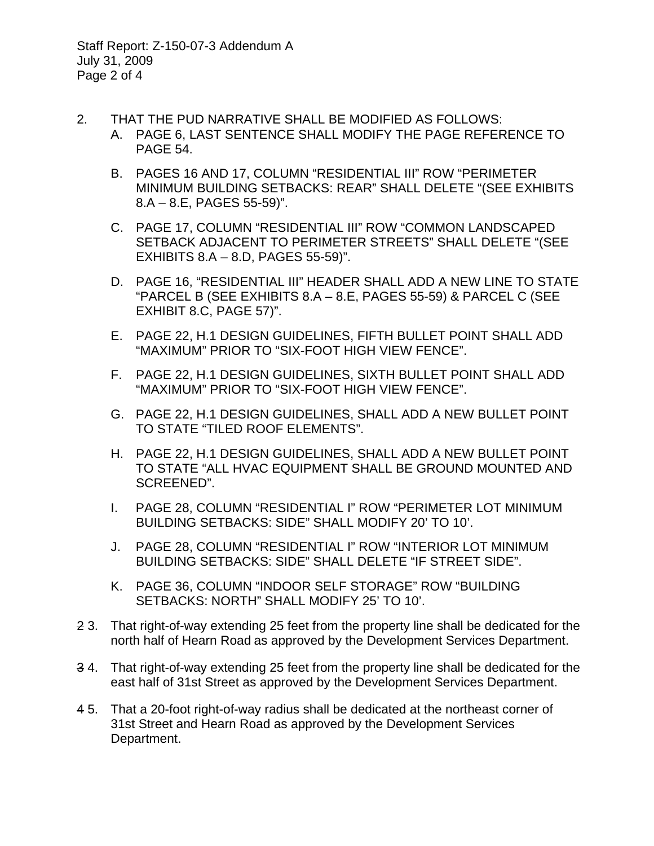- 2. THAT THE PUD NARRATIVE SHALL BE MODIFIED AS FOLLOWS:
	- A. PAGE 6, LAST SENTENCE SHALL MODIFY THE PAGE REFERENCE TO PAGE 54.
		- B. PAGES 16 AND 17, COLUMN "RESIDENTIAL III" ROW "PERIMETER MINIMUM BUILDING SETBACKS: REAR" SHALL DELETE "(SEE EXHIBITS 8.A – 8.E, PAGES 55-59)".
		- C. PAGE 17, COLUMN "RESIDENTIAL III" ROW "COMMON LANDSCAPED SETBACK ADJACENT TO PERIMETER STREETS" SHALL DELETE "(SEE EXHIBITS 8.A – 8.D, PAGES 55-59)".
		- D. PAGE 16, "RESIDENTIAL III" HEADER SHALL ADD A NEW LINE TO STATE "PARCEL B (SEE EXHIBITS 8.A – 8.E, PAGES 55-59) & PARCEL C (SEE EXHIBIT 8.C, PAGE 57)".
		- E. PAGE 22, H.1 DESIGN GUIDELINES, FIFTH BULLET POINT SHALL ADD "MAXIMUM" PRIOR TO "SIX-FOOT HIGH VIEW FENCE".
		- F. PAGE 22, H.1 DESIGN GUIDELINES, SIXTH BULLET POINT SHALL ADD "MAXIMUM" PRIOR TO "SIX-FOOT HIGH VIEW FENCE".
		- G. PAGE 22, H.1 DESIGN GUIDELINES, SHALL ADD A NEW BULLET POINT TO STATE "TILED ROOF ELEMENTS".
		- H. PAGE 22, H.1 DESIGN GUIDELINES, SHALL ADD A NEW BULLET POINT TO STATE "ALL HVAC EQUIPMENT SHALL BE GROUND MOUNTED AND SCREENED".
		- I. PAGE 28, COLUMN "RESIDENTIAL I" ROW "PERIMETER LOT MINIMUM BUILDING SETBACKS: SIDE" SHALL MODIFY 20' TO 10'.
		- J. PAGE 28, COLUMN "RESIDENTIAL I" ROW "INTERIOR LOT MINIMUM BUILDING SETBACKS: SIDE" SHALL DELETE "IF STREET SIDE".
		- K. PAGE 36, COLUMN "INDOOR SELF STORAGE" ROW "BUILDING SETBACKS: NORTH" SHALL MODIFY 25' TO 10'.
- 2 3. That right-of-way extending 25 feet from the property line shall be dedicated for the north half of Hearn Road as approved by the Development Services Department.
- 3 4. That right-of-way extending 25 feet from the property line shall be dedicated for the east half of 31st Street as approved by the Development Services Department.
- 4 5. That a 20-foot right-of-way radius shall be dedicated at the northeast corner of 31st Street and Hearn Road as approved by the Development Services Department.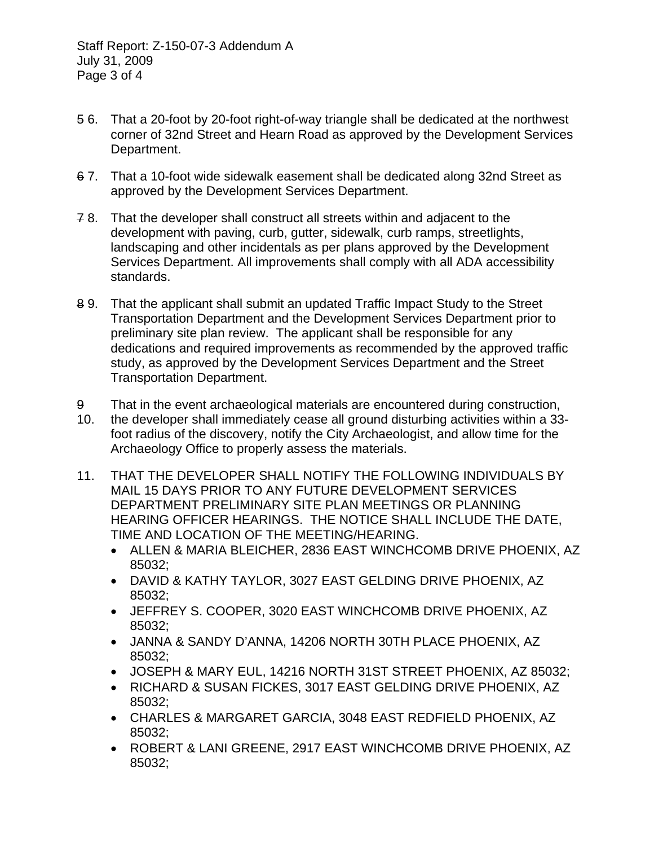- 5 6. That a 20-foot by 20-foot right-of-way triangle shall be dedicated at the northwest corner of 32nd Street and Hearn Road as approved by the Development Services Department.
- 6 7. That a 10-foot wide sidewalk easement shall be dedicated along 32nd Street as approved by the Development Services Department.
- 7 8. That the developer shall construct all streets within and adjacent to the development with paving, curb, gutter, sidewalk, curb ramps, streetlights, landscaping and other incidentals as per plans approved by the Development Services Department. All improvements shall comply with all ADA accessibility standards.
- 8 9. That the applicant shall submit an updated Traffic Impact Study to the Street Transportation Department and the Development Services Department prior to preliminary site plan review. The applicant shall be responsible for any dedications and required improvements as recommended by the approved traffic study, as approved by the Development Services Department and the Street Transportation Department.
- 9 That in the event archaeological materials are encountered during construction,
- 10. the developer shall immediately cease all ground disturbing activities within a 33 foot radius of the discovery, notify the City Archaeologist, and allow time for the Archaeology Office to properly assess the materials.
- 11. THAT THE DEVELOPER SHALL NOTIFY THE FOLLOWING INDIVIDUALS BY MAIL 15 DAYS PRIOR TO ANY FUTURE DEVELOPMENT SERVICES DEPARTMENT PRELIMINARY SITE PLAN MEETINGS OR PLANNING HEARING OFFICER HEARINGS. THE NOTICE SHALL INCLUDE THE DATE, TIME AND LOCATION OF THE MEETING/HEARING.
	- ALLEN & MARIA BLEICHER, 2836 EAST WINCHCOMB DRIVE PHOENIX, AZ 85032;
	- DAVID & KATHY TAYLOR, 3027 EAST GELDING DRIVE PHOENIX, AZ 85032;
	- JEFFREY S. COOPER, 3020 EAST WINCHCOMB DRIVE PHOENIX, AZ 85032;
	- JANNA & SANDY D'ANNA, 14206 NORTH 30TH PLACE PHOENIX, AZ 85032;
	- JOSEPH & MARY EUL, 14216 NORTH 31ST STREET PHOENIX, AZ 85032;
	- RICHARD & SUSAN FICKES, 3017 EAST GELDING DRIVE PHOENIX, AZ 85032;
	- CHARLES & MARGARET GARCIA, 3048 EAST REDFIELD PHOENIX, AZ 85032;
	- ROBERT & LANI GREENE, 2917 EAST WINCHCOMB DRIVE PHOENIX, AZ 85032;